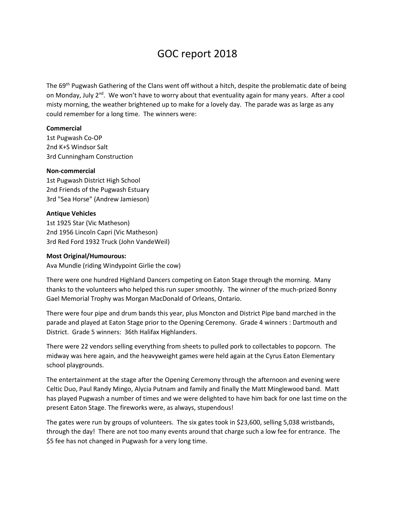# GOC report 2018

The 69th Pugwash Gathering of the Clans went off without a hitch, despite the problematic date of being on Monday, July 2<sup>nd</sup>. We won't have to worry about that eventuality again for many years. After a cool misty morning, the weather brightened up to make for a lovely day. The parade was as large as any could remember for a long time. The winners were:

## **Commercial**

1st Pugwash Co-OP 2nd K+S Windsor Salt 3rd Cunningham Construction

#### **Non-commercial**

1st Pugwash District High School 2nd Friends of the Pugwash Estuary 3rd "Sea Horse" (Andrew Jamieson)

## **Antique Vehicles**

1st 1925 Star (Vic Matheson) 2nd 1956 Lincoln Capri (Vic Matheson) 3rd Red Ford 1932 Truck (John VandeWeil)

### **Most Original/Humourous:**

Ava Mundle (riding Windypoint Girlie the cow)

There were one hundred Highland Dancers competing on Eaton Stage through the morning. Many thanks to the volunteers who helped this run super smoothly. The winner of the much-prized Bonny Gael Memorial Trophy was Morgan MacDonald of Orleans, Ontario.

There were four pipe and drum bands this year, plus Moncton and District Pipe band marched in the parade and played at Eaton Stage prior to the Opening Ceremony. Grade 4 winners : Dartmouth and District. Grade 5 winners: 36th Halifax Highlanders.

There were 22 vendors selling everything from sheets to pulled pork to collectables to popcorn. The midway was here again, and the heavyweight games were held again at the Cyrus Eaton Elementary school playgrounds.

The entertainment at the stage after the Opening Ceremony through the afternoon and evening were Celtic Duo, Paul Randy Mingo, Alycia Putnam and family and finally the Matt Minglewood band. Matt has played Pugwash a number of times and we were delighted to have him back for one last time on the present Eaton Stage. The fireworks were, as always, stupendous!

The gates were run by groups of volunteers. The six gates took in \$23,600, selling 5,038 wristbands, through the day! There are not too many events around that charge such a low fee for entrance. The \$5 fee has not changed in Pugwash for a very long time.